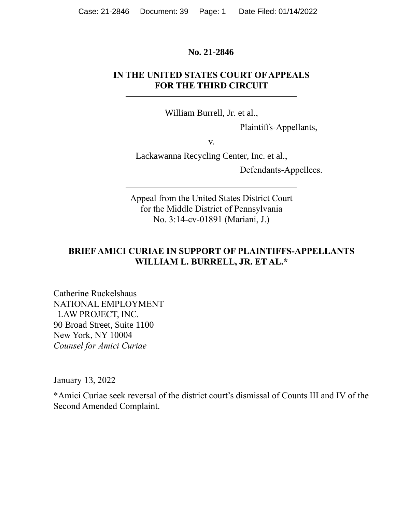#### **No. 21-2846**

#### **IN THE UNITED STATES COURT OF APPEALS FOR THE THIRD CIRCUIT**

William Burrell, Jr. et al.,

Plaintiffs-Appellants,

v.

Lackawanna Recycling Center, Inc. et al.,

Defendants-Appellees.

Appeal from the United States District Court for the Middle District of Pennsylvania No. 3:14-cv-01891 (Mariani, J.)

### **BRIEF AMICI CURIAE IN SUPPORT OF PLAINTIFFS-APPELLANTS WILLIAM L. BURRELL, JR. ET AL.\***

Catherine Ruckelshaus NATIONAL EMPLOYMENT LAW PROJECT, INC. 90 Broad Street, Suite 1100 New York, NY 10004 *Counsel for Amici Curiae*

January 13, 2022

\*Amici Curiae seek reversal of the district court's dismissal of Counts III and IV of the Second Amended Complaint.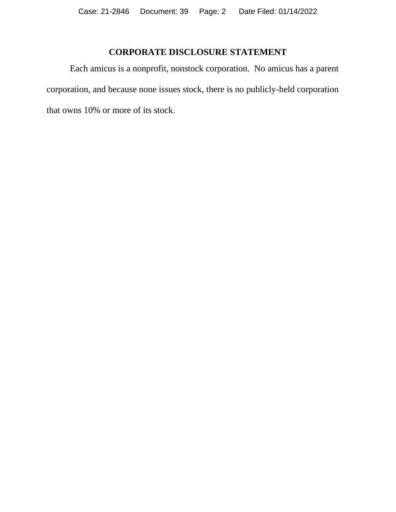## **CORPORATE DISCLOSURE STATEMENT**

Each amicus is a nonprofit, nonstock corporation. No amicus has a parent corporation, and because none issues stock, there is no publicly-held corporation that owns 10% or more of its stock.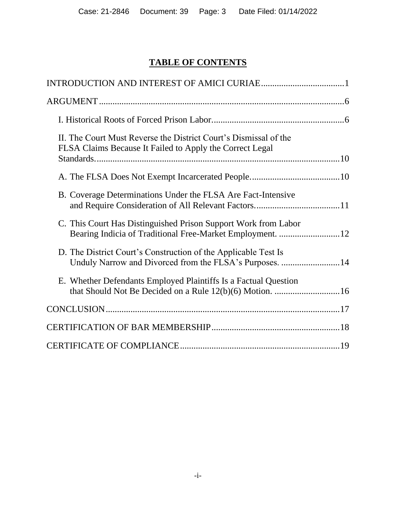# **TABLE OF CONTENTS**

| II. The Court Must Reverse the District Court's Dismissal of the<br>FLSA Claims Because It Failed to Apply the Correct Legal |  |
|------------------------------------------------------------------------------------------------------------------------------|--|
|                                                                                                                              |  |
| B. Coverage Determinations Under the FLSA Are Fact-Intensive                                                                 |  |
| C. This Court Has Distinguished Prison Support Work from Labor                                                               |  |
| D. The District Court's Construction of the Applicable Test Is<br>Unduly Narrow and Divorced from the FLSA's Purposes. 14    |  |
| E. Whether Defendants Employed Plaintiffs Is a Factual Question                                                              |  |
|                                                                                                                              |  |
|                                                                                                                              |  |
|                                                                                                                              |  |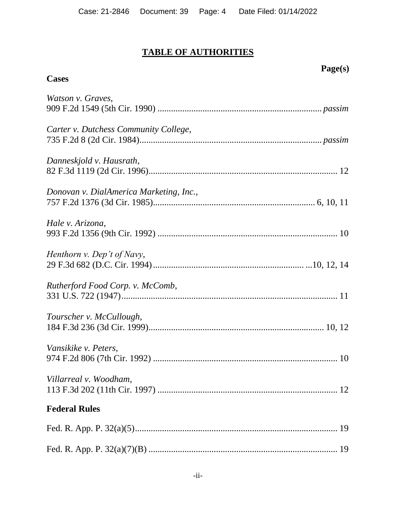# **TABLE OF AUTHORITIES**

# **Page(s)**

# **Cases**

| Watson v. Graves,                       |
|-----------------------------------------|
| Carter v. Dutchess Community College,   |
| Danneskjold v. Hausrath,                |
| Donovan v. DialAmerica Marketing, Inc., |
| Hale v. Arizona,                        |
| Henthorn v. Dep't of Navy,              |
| Rutherford Food Corp. v. McComb,        |
| Tourscher v. McCullough,                |
| Vansikike v. Peters,                    |
| Villarreal v. Woodham,                  |
| <b>Federal Rules</b>                    |
|                                         |
|                                         |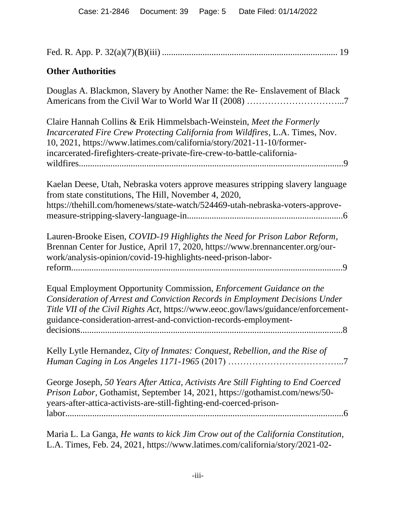| <b>Other Authorities</b>                                                                                                                                                                                                                                                                                              |
|-----------------------------------------------------------------------------------------------------------------------------------------------------------------------------------------------------------------------------------------------------------------------------------------------------------------------|
| Douglas A. Blackmon, Slavery by Another Name: the Re- Enslavement of Black                                                                                                                                                                                                                                            |
| Claire Hannah Collins & Erik Himmelsbach-Weinstein, Meet the Formerly<br>Incarcerated Fire Crew Protecting California from Wildfires, L.A. Times, Nov.<br>10, 2021, https://www.latimes.com/california/story/2021-11-10/former-<br>incarcerated-firefighters-create-private-fire-crew-to-battle-california-           |
| Kaelan Deese, Utah, Nebraska voters approve measures stripping slavery language<br>from state constitutions, The Hill, November 4, 2020,<br>https://thehill.com/homenews/state-watch/524469-utah-nebraska-voters-approve-                                                                                             |
| Lauren-Brooke Eisen, COVID-19 Highlights the Need for Prison Labor Reform,<br>Brennan Center for Justice, April 17, 2020, https://www.brennancenter.org/our-<br>work/analysis-opinion/covid-19-highlights-need-prison-labor-                                                                                          |
| Equal Employment Opportunity Commission, <i>Enforcement Guidance on the</i><br>Consideration of Arrest and Conviction Records in Employment Decisions Under<br>Title VII of the Civil Rights Act, https://www.eeoc.gov/laws/guidance/enforcement-<br>guidance-consideration-arrest-and-conviction-records-employment- |
| Kelly Lytle Hernandez, City of Inmates: Conquest, Rebellion, and the Rise of                                                                                                                                                                                                                                          |
| George Joseph, 50 Years After Attica, Activists Are Still Fighting to End Coerced<br>Prison Labor, Gothamist, September 14, 2021, https://gothamist.com/news/50-<br>years-after-attica-activists-are-still-fighting-end-coerced-prison-                                                                               |
| Maria L. La Ganga, He wants to kick Jim Crow out of the California Constitution,<br>L.A. Times, Feb. 24, 2021, https://www.latimes.com/california/story/2021-02-                                                                                                                                                      |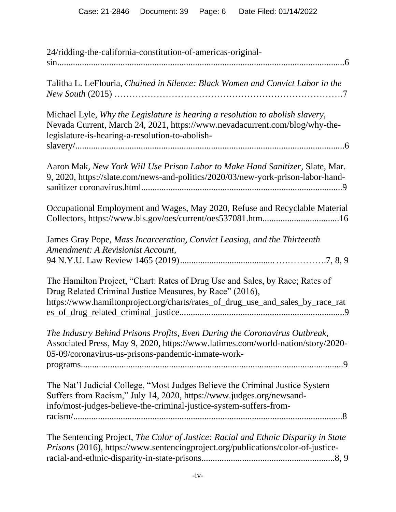| 24/ridding-the-california-constitution-of-americas-original-                                                                                                                                                               |
|----------------------------------------------------------------------------------------------------------------------------------------------------------------------------------------------------------------------------|
| Talitha L. LeFlouria, Chained in Silence: Black Women and Convict Labor in the                                                                                                                                             |
| Michael Lyle, Why the Legislature is hearing a resolution to abolish slavery,<br>Nevada Current, March 24, 2021, https://www.nevadacurrent.com/blog/why-the-<br>legislature-is-hearing-a-resolution-to-abolish-            |
| Aaron Mak, New York Will Use Prison Labor to Make Hand Sanitizer, Slate, Mar.<br>9, 2020, https://slate.com/news-and-politics/2020/03/new-york-prison-labor-hand-                                                          |
| Occupational Employment and Wages, May 2020, Refuse and Recyclable Material<br>Collectors, https://www.bls.gov/oes/current/oes537081.htm16                                                                                 |
| James Gray Pope, Mass Incarceration, Convict Leasing, and the Thirteenth<br>Amendment: A Revisionist Account,                                                                                                              |
| The Hamilton Project, "Chart: Rates of Drug Use and Sales, by Race; Rates of<br>Drug Related Criminal Justice Measures, by Race" (2016),<br>https://www.hamiltonproject.org/charts/rates_of_drug_use_and_sales_by_race_rat |
| The Industry Behind Prisons Profits, Even During the Coronavirus Outbreak,<br>Associated Press, May 9, 2020, https://www.latimes.com/world-nation/story/2020-<br>05-09/coronavirus-us-prisons-pandemic-inmate-work-        |
| The Nat'l Judicial College, "Most Judges Believe the Criminal Justice System<br>Suffers from Racism," July 14, 2020, https://www.judges.org/newsand-<br>info/most-judges-believe-the-criminal-justice-system-suffers-from- |
| The Sentencing Project, The Color of Justice: Racial and Ethnic Disparity in State<br>Prisons (2016), https://www.sentencingproject.org/publications/color-of-justice-                                                     |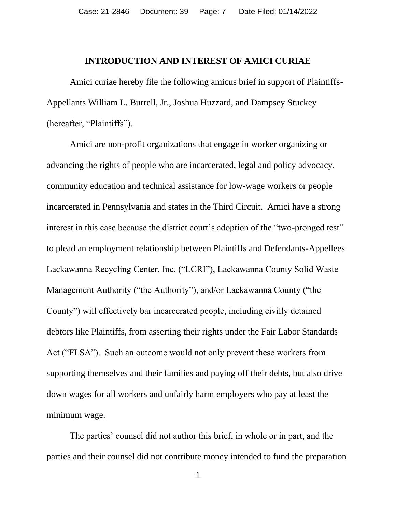#### **INTRODUCTION AND INTEREST OF AMICI CURIAE**

Amici curiae hereby file the following amicus brief in support of Plaintiffs-Appellants William L. Burrell, Jr., Joshua Huzzard, and Dampsey Stuckey (hereafter, "Plaintiffs").

Amici are non-profit organizations that engage in worker organizing or advancing the rights of people who are incarcerated, legal and policy advocacy, community education and technical assistance for low-wage workers or people incarcerated in Pennsylvania and states in the Third Circuit. Amici have a strong interest in this case because the district court's adoption of the "two-pronged test" to plead an employment relationship between Plaintiffs and Defendants-Appellees Lackawanna Recycling Center, Inc. ("LCRI"), Lackawanna County Solid Waste Management Authority ("the Authority"), and/or Lackawanna County ("the County") will effectively bar incarcerated people, including civilly detained debtors like Plaintiffs, from asserting their rights under the Fair Labor Standards Act ("FLSA"). Such an outcome would not only prevent these workers from supporting themselves and their families and paying off their debts, but also drive down wages for all workers and unfairly harm employers who pay at least the minimum wage.

The parties' counsel did not author this brief, in whole or in part, and the parties and their counsel did not contribute money intended to fund the preparation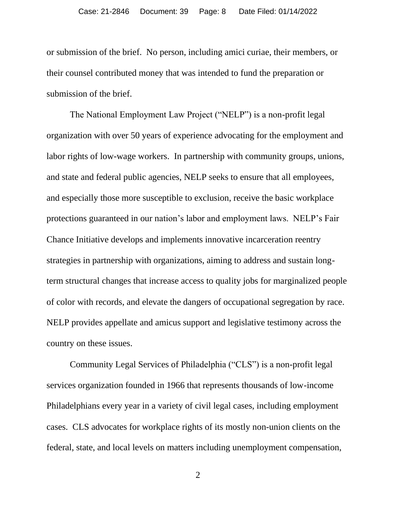or submission of the brief. No person, including amici curiae, their members, or their counsel contributed money that was intended to fund the preparation or submission of the brief.

The National Employment Law Project ("NELP") is a non-profit legal organization with over 50 years of experience advocating for the employment and labor rights of low-wage workers. In partnership with community groups, unions, and state and federal public agencies, NELP seeks to ensure that all employees, and especially those more susceptible to exclusion, receive the basic workplace protections guaranteed in our nation's labor and employment laws. NELP's Fair Chance Initiative develops and implements innovative incarceration reentry strategies in partnership with organizations, aiming to address and sustain longterm structural changes that increase access to quality jobs for marginalized people of color with records, and elevate the dangers of occupational segregation by race. NELP provides appellate and amicus support and legislative testimony across the country on these issues.

Community Legal Services of Philadelphia ("CLS") is a non-profit legal services organization founded in 1966 that represents thousands of low-income Philadelphians every year in a variety of civil legal cases, including employment cases. CLS advocates for workplace rights of its mostly non-union clients on the federal, state, and local levels on matters including unemployment compensation,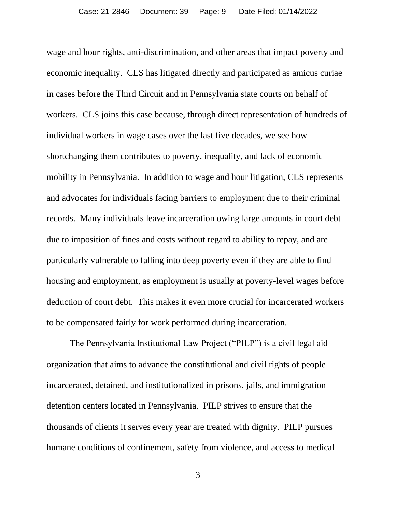wage and hour rights, anti-discrimination, and other areas that impact poverty and economic inequality. CLS has litigated directly and participated as amicus curiae in cases before the Third Circuit and in Pennsylvania state courts on behalf of workers. CLS joins this case because, through direct representation of hundreds of individual workers in wage cases over the last five decades, we see how shortchanging them contributes to poverty, inequality, and lack of economic mobility in Pennsylvania. In addition to wage and hour litigation, CLS represents and advocates for individuals facing barriers to employment due to their criminal records. Many individuals leave incarceration owing large amounts in court debt due to imposition of fines and costs without regard to ability to repay, and are particularly vulnerable to falling into deep poverty even if they are able to find housing and employment, as employment is usually at poverty-level wages before deduction of court debt. This makes it even more crucial for incarcerated workers to be compensated fairly for work performed during incarceration.

The Pennsylvania Institutional Law Project ("PILP") is a civil legal aid organization that aims to advance the constitutional and civil rights of people incarcerated, detained, and institutionalized in prisons, jails, and immigration detention centers located in Pennsylvania. PILP strives to ensure that the thousands of clients it serves every year are treated with dignity. PILP pursues humane conditions of confinement, safety from violence, and access to medical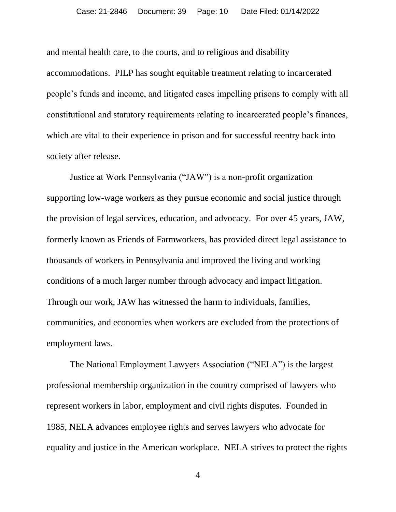and mental health care, to the courts, and to religious and disability accommodations. PILP has sought equitable treatment relating to incarcerated people's funds and income, and litigated cases impelling prisons to comply with all constitutional and statutory requirements relating to incarcerated people's finances, which are vital to their experience in prison and for successful reentry back into society after release.

Justice at Work Pennsylvania ("JAW") is a non-profit organization supporting low-wage workers as they pursue economic and social justice through the provision of legal services, education, and advocacy. For over 45 years, JAW, formerly known as Friends of Farmworkers, has provided direct legal assistance to thousands of workers in Pennsylvania and improved the living and working conditions of a much larger number through advocacy and impact litigation. Through our work, JAW has witnessed the harm to individuals, families, communities, and economies when workers are excluded from the protections of employment laws.

The National Employment Lawyers Association ("NELA") is the largest professional membership organization in the country comprised of lawyers who represent workers in labor, employment and civil rights disputes. Founded in 1985, NELA advances employee rights and serves lawyers who advocate for equality and justice in the American workplace. NELA strives to protect the rights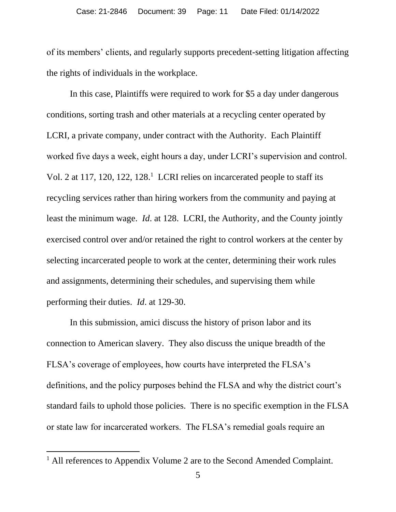of its members' clients, and regularly supports precedent-setting litigation affecting the rights of individuals in the workplace.

In this case, Plaintiffs were required to work for \$5 a day under dangerous conditions, sorting trash and other materials at a recycling center operated by LCRI, a private company, under contract with the Authority. Each Plaintiff worked five days a week, eight hours a day, under LCRI's supervision and control. Vol. 2 at 117, 120, 122, 128.<sup>1</sup> LCRI relies on incarcerated people to staff its recycling services rather than hiring workers from the community and paying at least the minimum wage. *Id*. at 128. LCRI, the Authority, and the County jointly exercised control over and/or retained the right to control workers at the center by selecting incarcerated people to work at the center, determining their work rules and assignments, determining their schedules, and supervising them while performing their duties. *Id*. at 129-30.

In this submission, amici discuss the history of prison labor and its connection to American slavery. They also discuss the unique breadth of the FLSA's coverage of employees, how courts have interpreted the FLSA's definitions, and the policy purposes behind the FLSA and why the district court's standard fails to uphold those policies. There is no specific exemption in the FLSA or state law for incarcerated workers. The FLSA's remedial goals require an

<sup>&</sup>lt;sup>1</sup> All references to Appendix Volume 2 are to the Second Amended Complaint.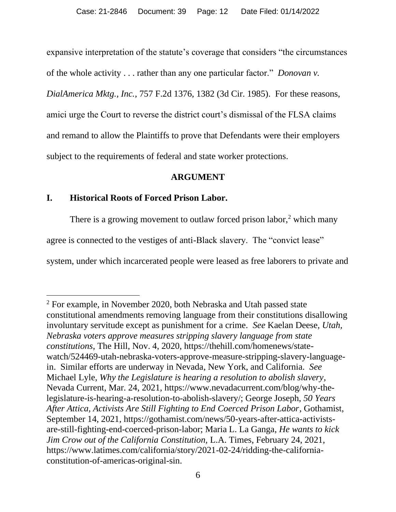expansive interpretation of the statute's coverage that considers "the circumstances of the whole activity . . . rather than any one particular factor." *Donovan v. DialAmerica Mktg., Inc.*, 757 F.2d 1376, 1382 (3d Cir. 1985). For these reasons, amici urge the Court to reverse the district court's dismissal of the FLSA claims and remand to allow the Plaintiffs to prove that Defendants were their employers subject to the requirements of federal and state worker protections.

#### **ARGUMENT**

### **I. Historical Roots of Forced Prison Labor.**

There is a growing movement to outlaw forced prison labor,<sup>2</sup> which many agree is connected to the vestiges of anti-Black slavery. The "convict lease" system, under which incarcerated people were leased as free laborers to private and

<sup>2</sup> For example, in November 2020, both Nebraska and Utah passed state constitutional amendments removing language from their constitutions disallowing involuntary servitude except as punishment for a crime. *See* Kaelan Deese, *Utah, Nebraska voters approve measures stripping slavery language from state constitutions*, The Hill, Nov. 4, 2020, https://thehill.com/homenews/statewatch/524469-utah-nebraska-voters-approve-measure-stripping-slavery-languagein. Similar efforts are underway in Nevada, New York, and California. *See* Michael Lyle, *Why the Legislature is hearing a resolution to abolish slavery*, Nevada Current, Mar. 24, 2021, https://www.nevadacurrent.com/blog/why-thelegislature-is-hearing-a-resolution-to-abolish-slavery/; George Joseph, *50 Years After Attica, Activists Are Still Fighting to End Coerced Prison Labor*, Gothamist, September 14, 2021, https://gothamist.com/news/50-years-after-attica-activistsare-still-fighting-end-coerced-prison-labor; Maria L. La Ganga, *He wants to kick Jim Crow out of the California Constitution,* L.A. Times, February 24, 2021, https://www.latimes.com/california/story/2021-02-24/ridding-the-californiaconstitution-of-americas-original-sin.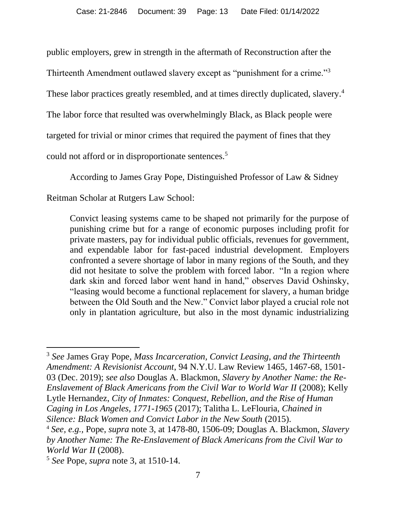public employers, grew in strength in the aftermath of Reconstruction after the

Thirteenth Amendment outlawed slavery except as "punishment for a crime."<sup>3</sup>

These labor practices greatly resembled, and at times directly duplicated, slavery.<sup>4</sup>

The labor force that resulted was overwhelmingly Black, as Black people were

targeted for trivial or minor crimes that required the payment of fines that they

could not afford or in disproportionate sentences.<sup>5</sup>

According to James Gray Pope, Distinguished Professor of Law & Sidney

Reitman Scholar at Rutgers Law School:

Convict leasing systems came to be shaped not primarily for the purpose of punishing crime but for a range of economic purposes including profit for private masters, pay for individual public officials, revenues for government, and expendable labor for fast-paced industrial development. Employers confronted a severe shortage of labor in many regions of the South, and they did not hesitate to solve the problem with forced labor. "In a region where dark skin and forced labor went hand in hand," observes David Oshinsky, "leasing would become a functional replacement for slavery, a human bridge between the Old South and the New." Convict labor played a crucial role not only in plantation agriculture, but also in the most dynamic industrializing

<sup>3</sup> *See* James Gray Pope, *Mass Incarceration, Convict Leasing, and the Thirteenth Amendment: A Revisionist Account*, 94 N.Y.U. Law Review 1465, 1467-68, 1501- 03 (Dec. 2019); *see also* Douglas A. Blackmon, *Slavery by Another Name: the Re-Enslavement of Black Americans from the Civil War to World War II* (2008); Kelly Lytle Hernandez, *City of Inmates: Conquest, Rebellion, and the Rise of Human Caging in Los Angeles, 1771-1965* (2017); Talitha L. LeFlouria, *Chained in Silence: Black Women and Convict Labor in the New South* (2015).

<sup>4</sup> *See, e.g.,* Pope, *supra* note 3, at 1478-80, 1506-09; Douglas A. Blackmon, *Slavery by Another Name: The Re-Enslavement of Black Americans from the Civil War to World War II* (2008).

<sup>5</sup> *See* Pope, *supra* note 3, at 1510-14.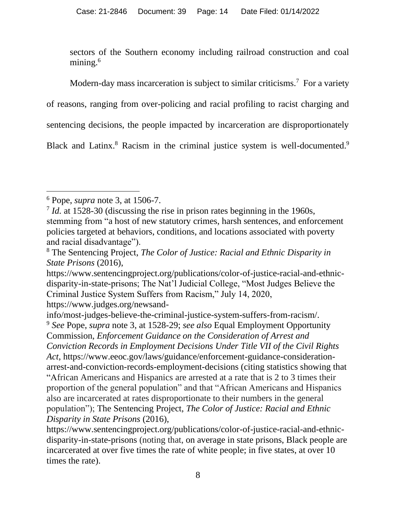sectors of the Southern economy including railroad construction and coal mining.<sup>6</sup>

Modern-day mass incarceration is subject to similar criticisms.<sup>7</sup> For a variety of reasons, ranging from over-policing and racial profiling to racist charging and sentencing decisions, the people impacted by incarceration are disproportionately Black and Latinx.<sup>8</sup> Racism in the criminal justice system is well-documented.<sup>9</sup>

<sup>6</sup> Pope, *supra* note 3, at 1506-7.

<sup>&</sup>lt;sup>7</sup> *Id.* at 1528-30 (discussing the rise in prison rates beginning in the 1960s, stemming from "a host of new statutory crimes, harsh sentences, and enforcement policies targeted at behaviors, conditions, and locations associated with poverty and racial disadvantage").

<sup>8</sup> The Sentencing Project, *The Color of Justice: Racial and Ethnic Disparity in State Prisons* (2016),

https://www.sentencingproject.org/publications/color-of-justice-racial-and-ethnicdisparity-in-state-prisons; The Nat'l Judicial College, "Most Judges Believe the Criminal Justice System Suffers from Racism," July 14, 2020, https://www.judges.org/newsand-

info/most-judges-believe-the-criminal-justice-system-suffers-from-racism/. <sup>9</sup> *See* Pope, *supra* note 3, at 1528-29; *see also* Equal Employment Opportunity Commission, *Enforcement Guidance on the Consideration of Arrest and Conviction Records in Employment Decisions Under Title VII of the Civil Rights Act*, https://www.eeoc.gov/laws/guidance/enforcement-guidance-considerationarrest-and-conviction-records-employment-decisions (citing statistics showing that "African Americans and Hispanics are arrested at a rate that is 2 to 3 times their proportion of the general population" and that "African Americans and Hispanics also are incarcerated at rates disproportionate to their numbers in the general population"); The Sentencing Project, *The Color of Justice: Racial and Ethnic Disparity in State Prisons* (2016),

https://www.sentencingproject.org/publications/color-of-justice-racial-and-ethnicdisparity-in-state-prisons (noting that, on average in state prisons, Black people are incarcerated at over five times the rate of white people; in five states, at over 10 times the rate).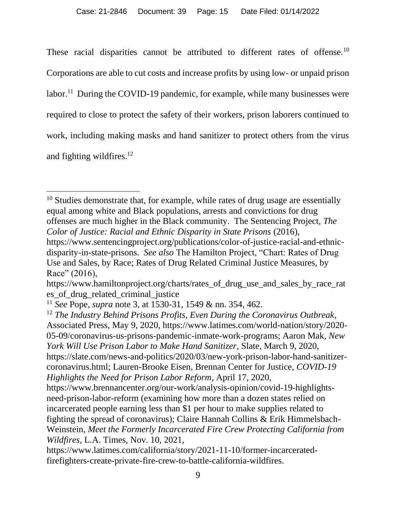These racial disparities cannot be attributed to different rates of offense.<sup>10</sup> Corporations are able to cut costs and increase profits by using low- or unpaid prison labor.<sup>11</sup> During the COVID-19 pandemic, for example, while many businesses were required to close to protect the safety of their workers, prison laborers continued to work, including making masks and hand sanitizer to protect others from the virus and fighting wildfires.<sup>12</sup>

 $10$  Studies demonstrate that, for example, while rates of drug usage are essentially equal among white and Black populations, arrests and convictions for drug offenses are much higher in the Black community. The Sentencing Project, *The Color of Justice: Racial and Ethnic Disparity in State Prisons* (2016), https://www.sentencingproject.org/publications/color-of-justice-racial-and-ethnic-

disparity-in-state-prisons. *See also* The Hamilton Project, "Chart: Rates of Drug Use and Sales, by Race; Rates of Drug Related Criminal Justice Measures, by Race" (2016),

https://www.hamiltonproject.org/charts/rates\_of\_drug\_use\_and\_sales\_by\_race\_rat es\_of\_drug\_related\_criminal\_justice

<sup>11</sup> *See* Pope, *supra* note 3, at 1530-31, 1549 & nn. 354, 462.

<sup>12</sup> *The Industry Behind Prisons Profits, Even During the Coronavirus Outbreak*, Associated Press, May 9, 2020, https://www.latimes.com/world-nation/story/2020- 05-09/coronavirus-us-prisons-pandemic-inmate-work-programs; Aaron Mak, *New York Will Use Prison Labor to Make Hand Sanitizer*, Slate, March 9, 2020, https://slate.com/news-and-politics/2020/03/new-york-prison-labor-hand-sanitizercoronavirus.html; Lauren-Brooke Eisen, Brennan Center for Justice, *COVID-19 Highlights the Need for Prison Labor Reform*, April 17, 2020,

https://www.brennancenter.org/our-work/analysis-opinion/covid-19-highlightsneed-prison-labor-reform (examining how more than a dozen states relied on incarcerated people earning less than \$1 per hour to make supplies related to fighting the spread of coronavirus); Claire Hannah Collins & Erik Himmelsbach-Weinstein, *Meet the Formerly Incarcerated Fire Crew Protecting California from Wildfires*, L.A. Times, Nov. 10, 2021,

https://www.latimes.com/california/story/2021-11-10/former-incarceratedfirefighters-create-private-fire-crew-to-battle-california-wildfires.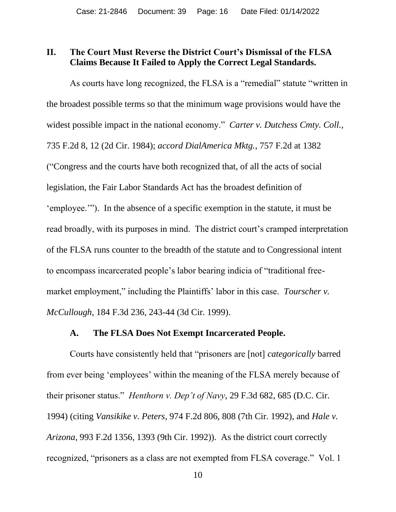#### **II. The Court Must Reverse the District Court's Dismissal of the FLSA Claims Because It Failed to Apply the Correct Legal Standards.**

As courts have long recognized, the FLSA is a "remedial" statute "written in the broadest possible terms so that the minimum wage provisions would have the widest possible impact in the national economy." *Carter v. Dutchess Cmty. Coll.*, 735 F.2d 8, 12 (2d Cir. 1984); *accord DialAmerica Mktg.*, 757 F.2d at 1382 ("Congress and the courts have both recognized that, of all the acts of social legislation, the Fair Labor Standards Act has the broadest definition of 'employee.'"). In the absence of a specific exemption in the statute, it must be read broadly, with its purposes in mind. The district court's cramped interpretation of the FLSA runs counter to the breadth of the statute and to Congressional intent to encompass incarcerated people's labor bearing indicia of "traditional freemarket employment," including the Plaintiffs' labor in this case. *Tourscher v*. *McCullough*, 184 F.3d 236, 243-44 (3d Cir. 1999).

#### **A. The FLSA Does Not Exempt Incarcerated People.**

Courts have consistently held that "prisoners are [not] *categorically* barred from ever being 'employees' within the meaning of the FLSA merely because of their prisoner status." *Henthorn v. Dep't of Navy*, 29 F.3d 682, 685 (D.C. Cir. 1994) (citing *Vansikike v. Peters*, 974 F.2d 806, 808 (7th Cir. 1992), and *Hale v. Arizona*, 993 F.2d 1356, 1393 (9th Cir. 1992)). As the district court correctly recognized, "prisoners as a class are not exempted from FLSA coverage." Vol. 1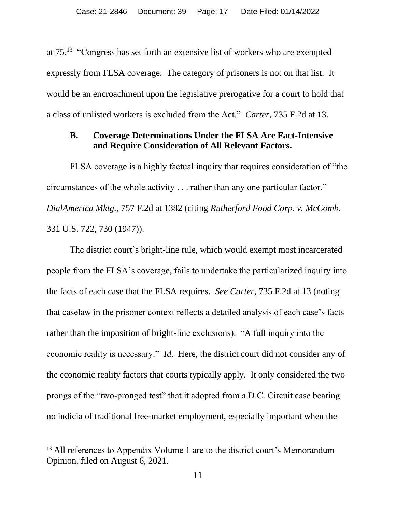at  $75<sup>13</sup>$  "Congress has set forth an extensive list of workers who are exempted expressly from FLSA coverage. The category of prisoners is not on that list. It would be an encroachment upon the legislative prerogative for a court to hold that a class of unlisted workers is excluded from the Act." *Carter*, 735 F.2d at 13.

#### **B. Coverage Determinations Under the FLSA Are Fact-Intensive and Require Consideration of All Relevant Factors.**

FLSA coverage is a highly factual inquiry that requires consideration of "the circumstances of the whole activity . . . rather than any one particular factor." *DialAmerica Mktg.*, 757 F.2d at 1382 (citing *Rutherford Food Corp. v. McComb*, 331 U.S. 722, 730 (1947)).

The district court's bright-line rule, which would exempt most incarcerated people from the FLSA's coverage, fails to undertake the particularized inquiry into the facts of each case that the FLSA requires. *See Carter*, 735 F.2d at 13 (noting that caselaw in the prisoner context reflects a detailed analysis of each case's facts rather than the imposition of bright-line exclusions). "A full inquiry into the economic reality is necessary." *Id*. Here, the district court did not consider any of the economic reality factors that courts typically apply. It only considered the two prongs of the "two-pronged test" that it adopted from a D.C. Circuit case bearing no indicia of traditional free-market employment, especially important when the

<sup>&</sup>lt;sup>13</sup> All references to Appendix Volume 1 are to the district court's Memorandum Opinion, filed on August 6, 2021.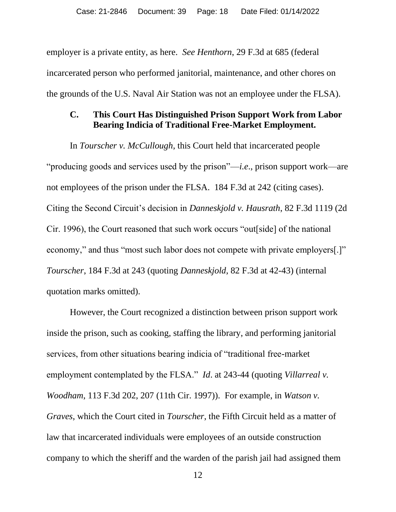employer is a private entity, as here. *See Henthorn*, 29 F.3d at 685 (federal incarcerated person who performed janitorial, maintenance, and other chores on the grounds of the U.S. Naval Air Station was not an employee under the FLSA).

#### **C. This Court Has Distinguished Prison Support Work from Labor Bearing Indicia of Traditional Free-Market Employment.**

In *Tourscher v. McCullough*, this Court held that incarcerated people "producing goods and services used by the prison"—*i.e*., prison support work—are not employees of the prison under the FLSA. 184 F.3d at 242 (citing cases). Citing the Second Circuit's decision in *Danneskjold v. Hausrath*, 82 F.3d 1119 (2d Cir. 1996), the Court reasoned that such work occurs "out[side] of the national economy," and thus "most such labor does not compete with private employers[.]" *Tourscher*, 184 F.3d at 243 (quoting *Danneskjold*, 82 F.3d at 42-43) (internal quotation marks omitted).

However, the Court recognized a distinction between prison support work inside the prison, such as cooking, staffing the library, and performing janitorial services, from other situations bearing indicia of "traditional free-market employment contemplated by the FLSA." *Id*. at 243-44 (quoting *Villarreal v. Woodham*, 113 F.3d 202, 207 (11th Cir. 1997)). For example, in *Watson v. Graves*, which the Court cited in *Tourscher*, the Fifth Circuit held as a matter of law that incarcerated individuals were employees of an outside construction company to which the sheriff and the warden of the parish jail had assigned them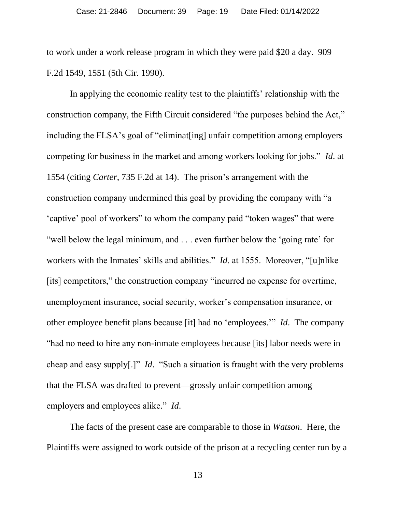to work under a work release program in which they were paid \$20 a day. 909 F.2d 1549, 1551 (5th Cir. 1990).

In applying the economic reality test to the plaintiffs' relationship with the construction company, the Fifth Circuit considered "the purposes behind the Act," including the FLSA's goal of "eliminat[ing] unfair competition among employers competing for business in the market and among workers looking for jobs." *Id*. at 1554 (citing *Carter*, 735 F.2d at 14). The prison's arrangement with the construction company undermined this goal by providing the company with "a 'captive' pool of workers" to whom the company paid "token wages" that were "well below the legal minimum, and . . . even further below the 'going rate' for workers with the Inmates' skills and abilities." *Id*. at 1555. Moreover, "[u]nlike [its] competitors," the construction company "incurred no expense for overtime, unemployment insurance, social security, worker's compensation insurance, or other employee benefit plans because [it] had no 'employees.'" *Id*. The company "had no need to hire any non-inmate employees because [its] labor needs were in cheap and easy supply[.]" *Id*. "Such a situation is fraught with the very problems that the FLSA was drafted to prevent—grossly unfair competition among employers and employees alike." *Id*.

The facts of the present case are comparable to those in *Watson*. Here, the Plaintiffs were assigned to work outside of the prison at a recycling center run by a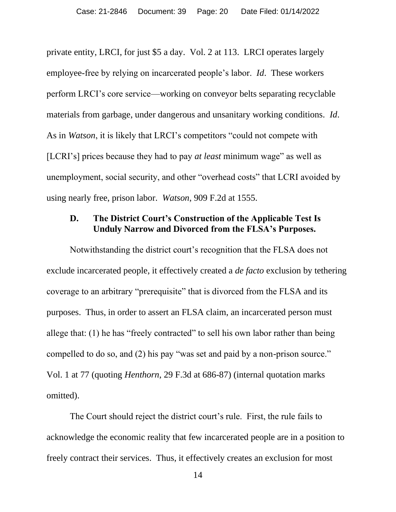private entity, LRCI, for just \$5 a day. Vol. 2 at 113. LRCI operates largely employee-free by relying on incarcerated people's labor. *Id*. These workers perform LRCI's core service—working on conveyor belts separating recyclable materials from garbage, under dangerous and unsanitary working conditions. *Id*. As in *Watson*, it is likely that LRCI's competitors "could not compete with [LCRI's] prices because they had to pay *at least* minimum wage" as well as unemployment, social security, and other "overhead costs" that LCRI avoided by using nearly free, prison labor. *Watson*, 909 F.2d at 1555.

### **D. The District Court's Construction of the Applicable Test Is Unduly Narrow and Divorced from the FLSA's Purposes.**

Notwithstanding the district court's recognition that the FLSA does not exclude incarcerated people, it effectively created a *de facto* exclusion by tethering coverage to an arbitrary "prerequisite" that is divorced from the FLSA and its purposes. Thus, in order to assert an FLSA claim, an incarcerated person must allege that: (1) he has "freely contracted" to sell his own labor rather than being compelled to do so, and (2) his pay "was set and paid by a non-prison source." Vol. 1 at 77 (quoting *Henthorn*, 29 F.3d at 686-87) (internal quotation marks omitted).

The Court should reject the district court's rule. First, the rule fails to acknowledge the economic reality that few incarcerated people are in a position to freely contract their services. Thus, it effectively creates an exclusion for most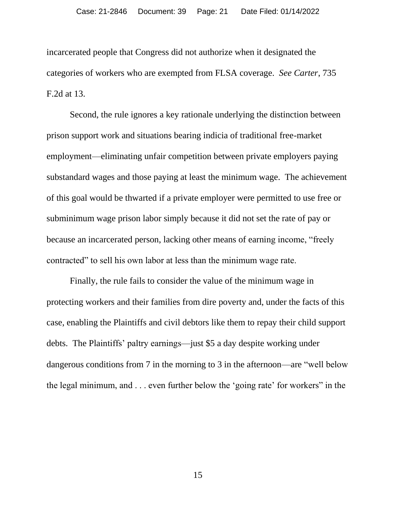incarcerated people that Congress did not authorize when it designated the categories of workers who are exempted from FLSA coverage. *See Carter*, 735 F.2d at 13.

Second, the rule ignores a key rationale underlying the distinction between prison support work and situations bearing indicia of traditional free-market employment—eliminating unfair competition between private employers paying substandard wages and those paying at least the minimum wage. The achievement of this goal would be thwarted if a private employer were permitted to use free or subminimum wage prison labor simply because it did not set the rate of pay or because an incarcerated person, lacking other means of earning income, "freely contracted" to sell his own labor at less than the minimum wage rate.

Finally, the rule fails to consider the value of the minimum wage in protecting workers and their families from dire poverty and, under the facts of this case, enabling the Plaintiffs and civil debtors like them to repay their child support debts. The Plaintiffs' paltry earnings—just \$5 a day despite working under dangerous conditions from 7 in the morning to 3 in the afternoon—are "well below the legal minimum, and . . . even further below the 'going rate' for workers" in the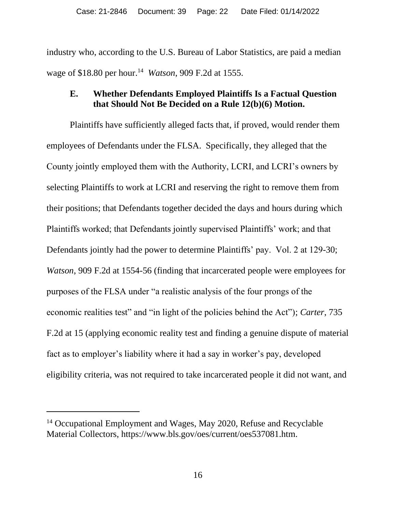industry who, according to the U.S. Bureau of Labor Statistics, are paid a median wage of \$18.80 per hour.<sup>14</sup> *Watson*, 909 F.2d at 1555.

### **E. Whether Defendants Employed Plaintiffs Is a Factual Question that Should Not Be Decided on a Rule 12(b)(6) Motion.**

Plaintiffs have sufficiently alleged facts that, if proved, would render them employees of Defendants under the FLSA. Specifically, they alleged that the County jointly employed them with the Authority, LCRI, and LCRI's owners by selecting Plaintiffs to work at LCRI and reserving the right to remove them from their positions; that Defendants together decided the days and hours during which Plaintiffs worked; that Defendants jointly supervised Plaintiffs' work; and that Defendants jointly had the power to determine Plaintiffs' pay. Vol. 2 at 129-30; *Watson*, 909 F.2d at 1554-56 (finding that incarcerated people were employees for purposes of the FLSA under "a realistic analysis of the four prongs of the economic realities test" and "in light of the policies behind the Act"); *Carter*, 735 F.2d at 15 (applying economic reality test and finding a genuine dispute of material fact as to employer's liability where it had a say in worker's pay, developed eligibility criteria, was not required to take incarcerated people it did not want, and

<sup>&</sup>lt;sup>14</sup> Occupational Employment and Wages, May 2020, Refuse and Recyclable Material Collectors, https://www.bls.gov/oes/current/oes537081.htm.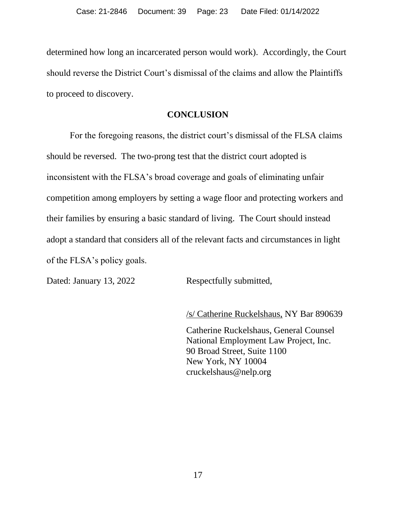determined how long an incarcerated person would work). Accordingly, the Court should reverse the District Court's dismissal of the claims and allow the Plaintiffs to proceed to discovery.

#### **CONCLUSION**

For the foregoing reasons, the district court's dismissal of the FLSA claims should be reversed. The two-prong test that the district court adopted is inconsistent with the FLSA's broad coverage and goals of eliminating unfair competition among employers by setting a wage floor and protecting workers and their families by ensuring a basic standard of living. The Court should instead adopt a standard that considers all of the relevant facts and circumstances in light of the FLSA's policy goals.

Dated: January 13, 2022 Respectfully submitted,

/s/ Catherine Ruckelshaus, NY Bar 890639

Catherine Ruckelshaus, General Counsel National Employment Law Project, Inc. 90 Broad Street, Suite 1100 New York, NY 10004 cruckelshaus@nelp.org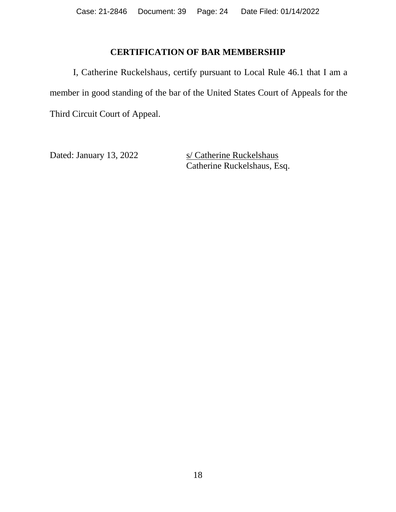### **CERTIFICATION OF BAR MEMBERSHIP**

I, Catherine Ruckelshaus, certify pursuant to Local Rule 46.1 that I am a member in good standing of the bar of the United States Court of Appeals for the Third Circuit Court of Appeal.

Dated: January 13, 2022 s/ Catherine Ruckelshaus Catherine Ruckelshaus, Esq.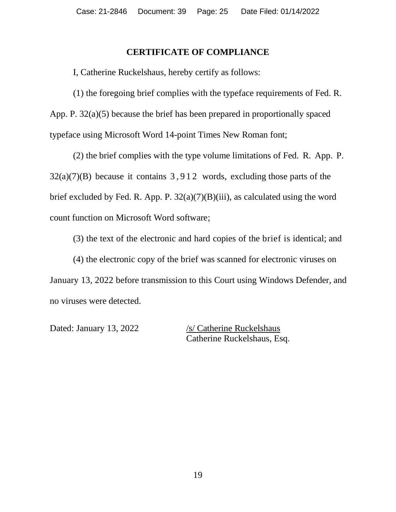#### **CERTIFICATE OF COMPLIANCE**

I, Catherine Ruckelshaus, hereby certify as follows:

(1) the foregoing brief complies with the typeface requirements of Fed. R. App. P. 32(a)(5) because the brief has been prepared in proportionally spaced typeface using Microsoft Word 14-point Times New Roman font;

(2) the brief complies with the type volume limitations of Fed. R. App. P.  $32(a)(7)(B)$  because it contains 3,912 words, excluding those parts of the brief excluded by Fed. R. App. P.  $32(a)(7)(B)(iii)$ , as calculated using the word count function on Microsoft Word software;

(3) the text of the electronic and hard copies of the brief is identical; and

(4) the electronic copy of the brief was scanned for electronic viruses on January 13, 2022 before transmission to this Court using Windows Defender, and no viruses were detected.

Dated: January 13, 2022 /s/ Catherine Ruckelshaus Catherine Ruckelshaus, Esq.